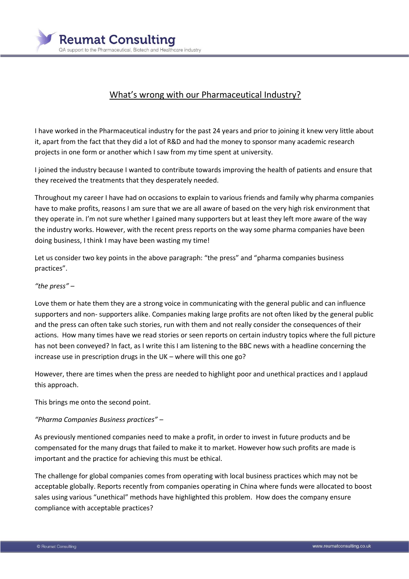

## What's wrong with our Pharmaceutical Industry?

I have worked in the Pharmaceutical industry for the past 24 years and prior to joining it knew very little about it, apart from the fact that they did a lot of R&D and had the money to sponsor many academic research projects in one form or another which I saw from my time spent at university.

I joined the industry because I wanted to contribute towards improving the health of patients and ensure that they received the treatments that they desperately needed.

Throughout my career I have had on occasions to explain to various friends and family why pharma companies have to make profits, reasons I am sure that we are all aware of based on the very high risk environment that they operate in. I'm not sure whether I gained many supporters but at least they left more aware of the way the industry works. However, with the recent press reports on the way some pharma companies have been doing business, I think I may have been wasting my time!

Let us consider two key points in the above paragraph: "the press" and "pharma companies business practices".

## *"the press" –*

Love them or hate them they are a strong voice in communicating with the general public and can influence supporters and non- supporters alike. Companies making large profits are not often liked by the general public and the press can often take such stories, run with them and not really consider the consequences of their actions. How many times have we read stories or seen reports on certain industry topics where the full picture has not been conveyed? In fact, as I write this I am listening to the BBC news with a headline concerning the increase use in prescription drugs in the UK – where will this one go?

However, there are times when the press are needed to highlight poor and unethical practices and I applaud this approach.

This brings me onto the second point.

## *"Pharma Companies Business practices" –*

As previously mentioned companies need to make a profit, in order to invest in future products and be compensated for the many drugs that failed to make it to market. However how such profits are made is important and the practice for achieving this must be ethical.

The challenge for global companies comes from operating with local business practices which may not be acceptable globally. Reports recently from companies operating in China where funds were allocated to boost sales using various "unethical" methods have highlighted this problem. How does the company ensure compliance with acceptable practices?